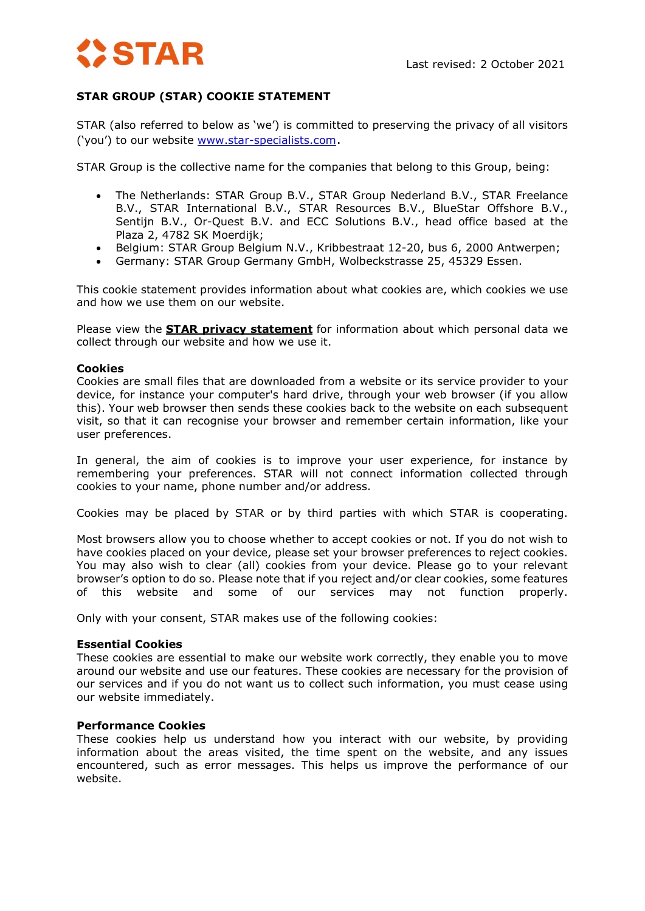# **STAR**

# **STAR GROUP (STAR) COOKIE STATEMENT**

STAR (also referred to below as 'we') is committed to preserving the privacy of all visitors ('you') to our website [www.star-specialists.com.](http://www.star-specialists.com/)

STAR Group is the collective name for the companies that belong to this Group, being:

- The Netherlands: STAR Group B.V., STAR Group Nederland B.V., STAR Freelance B.V., STAR International B.V., STAR Resources B.V., BlueStar Offshore B.V., Sentijn B.V., Or-Quest B.V. and ECC Solutions B.V., head office based at the Plaza 2, 4782 SK Moerdijk;
- Belgium: STAR Group Belgium N.V., Kribbestraat 12-20, bus 6, 2000 Antwerpen;
- Germany: STAR Group Germany GmbH, Wolbeckstrasse 25, 45329 Essen.

This cookie statement provides information about what cookies are, which cookies we use and how we use them on our website.

Please view the **[STAR privacy statement](https://star-specialists.com/wp-content/uploads/2021/11/privacy-statement-2021.pdf)** for information about which personal data we collect through our website and how we use it.

# **Cookies**

Cookies are small files that are downloaded from a website or its service provider to your device, for instance your computer's hard drive, through your web browser (if you allow this). Your web browser then sends these cookies back to the website on each subsequent visit, so that it can recognise your browser and remember certain information, like your user preferences.

In general, the aim of cookies is to improve your user experience, for instance by remembering your preferences. STAR will not connect information collected through cookies to your name, phone number and/or address.

Cookies may be placed by STAR or by third parties with which STAR is cooperating.

Most browsers allow you to choose whether to accept cookies or not. If you do not wish to have cookies placed on your device, please set your browser preferences to reject cookies. You may also wish to clear (all) cookies from your device. Please go to your relevant browser's option to do so. Please note that if you reject and/or clear cookies, some features of this website and some of our services may not function properly.

Only with your consent, STAR makes use of the following cookies:

# **Essential Cookies**

These cookies are essential to make our website work correctly, they enable you to move around our website and use our features. These cookies are necessary for the provision of our services and if you do not want us to collect such information, you must cease using our website immediately.

# **Performance Cookies**

These cookies help us understand how you interact with our website, by providing information about the areas visited, the time spent on the website, and any issues encountered, such as error messages. This helps us improve the performance of our website.